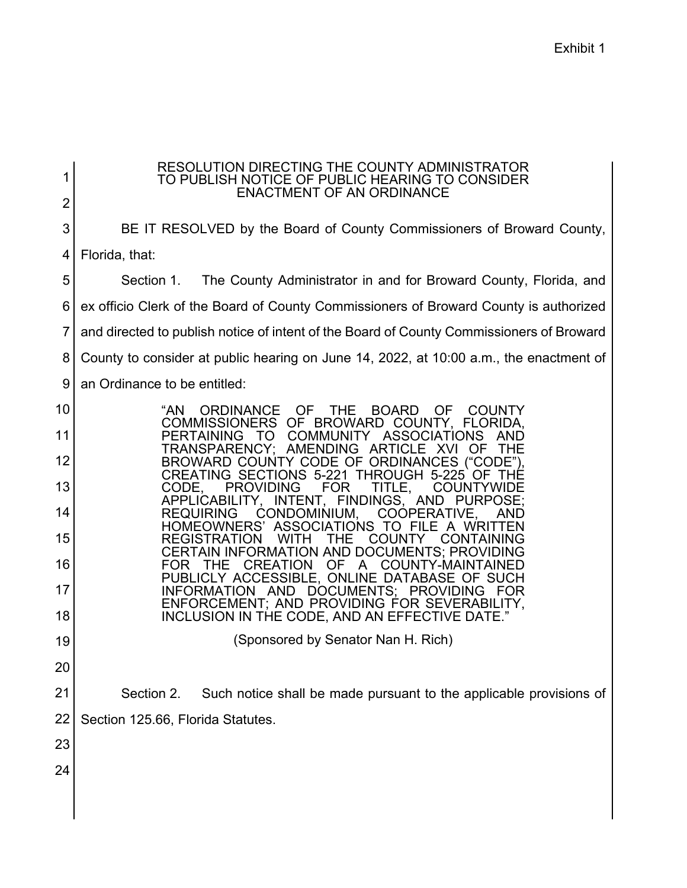| 1  | RESOLUTION DIRECTING THE COUNTY ADMINISTRATOR<br>TO PUBLISH NOTICE OF PUBLIC HEARING TO CONSIDER<br><b>ENACTMENT OF AN ORDINANCE</b>            |  |  |  |  |
|----|-------------------------------------------------------------------------------------------------------------------------------------------------|--|--|--|--|
| 2  |                                                                                                                                                 |  |  |  |  |
| 3  | BE IT RESOLVED by the Board of County Commissioners of Broward County,                                                                          |  |  |  |  |
| 4  | Florida, that:                                                                                                                                  |  |  |  |  |
| 5  | The County Administrator in and for Broward County, Florida, and<br>Section 1.                                                                  |  |  |  |  |
| 6  | ex officio Clerk of the Board of County Commissioners of Broward County is authorized                                                           |  |  |  |  |
| 7  | and directed to publish notice of intent of the Board of County Commissioners of Broward                                                        |  |  |  |  |
| 8  | County to consider at public hearing on June 14, 2022, at 10:00 a.m., the enactment of                                                          |  |  |  |  |
| 9  | an Ordinance to be entitled:                                                                                                                    |  |  |  |  |
| 10 | THE<br><b>BOARD</b><br>- OF<br>"AN<br>ORDINANCE OF<br><b>COUNTY</b><br>COMMISSIONERS OF BROWARD COUNTY, FLORIDA,                                |  |  |  |  |
| 11 | COMMUNITY ASSOCIATIONS<br><b>PERTAINING</b><br>- то<br>AND<br>TRANSPARENCY; AMENDING ARTICLE XVI<br><b>OF</b><br>THE                            |  |  |  |  |
| 12 | BROWARD COUNTY CODE OF ORDINANCES ("CODE").<br>CREATING SECTIONS 5-221 THROUGH 5-225 OF                                                         |  |  |  |  |
| 13 | IHE<br><b>PROVIDING</b><br>CODE.<br>FOR<br>TITLE,<br><b>COUNTYWIDE</b>                                                                          |  |  |  |  |
| 14 | APPLICABILITY, INTENT, FINDINGS, AND PURPOSE;<br>COOPERATIVE,<br><b>REQUIRING</b><br>CONDOMINIUM,<br>HOMEOWNERS' ASSOCIATIONS TO FILE A WRITTEN |  |  |  |  |
| 15 | <b>WITH</b><br><b>COUNTY</b><br><b>REGISTRATION</b><br>THE<br>CONTAINING<br><b>CERTAIN INFORMATION AND DOCUMENTS; PROVIDING</b>                 |  |  |  |  |
| 16 | <b>CREATION</b><br>OF A<br>COUNTY-MAINTAINED<br>FOR.<br>THE.<br>PUBLICLY ACCESSIBLE, ONLINE DATABASE OF SUCH                                    |  |  |  |  |
| 17 | INFORMATION AND DOCUMENTS; PROVIDING<br>FOR<br>ENFORCEMENT; AND PROVIDING FOR SEVERABILITY,                                                     |  |  |  |  |
| 18 | INCLUSION IN THE CODE, AND AN EFFECTIVE DATE."                                                                                                  |  |  |  |  |
| 19 | (Sponsored by Senator Nan H. Rich)                                                                                                              |  |  |  |  |
| 20 |                                                                                                                                                 |  |  |  |  |
| 21 | Section 2.<br>Such notice shall be made pursuant to the applicable provisions of                                                                |  |  |  |  |
| 22 | Section 125.66, Florida Statutes.                                                                                                               |  |  |  |  |
| 23 |                                                                                                                                                 |  |  |  |  |
| 24 |                                                                                                                                                 |  |  |  |  |
|    |                                                                                                                                                 |  |  |  |  |
|    |                                                                                                                                                 |  |  |  |  |